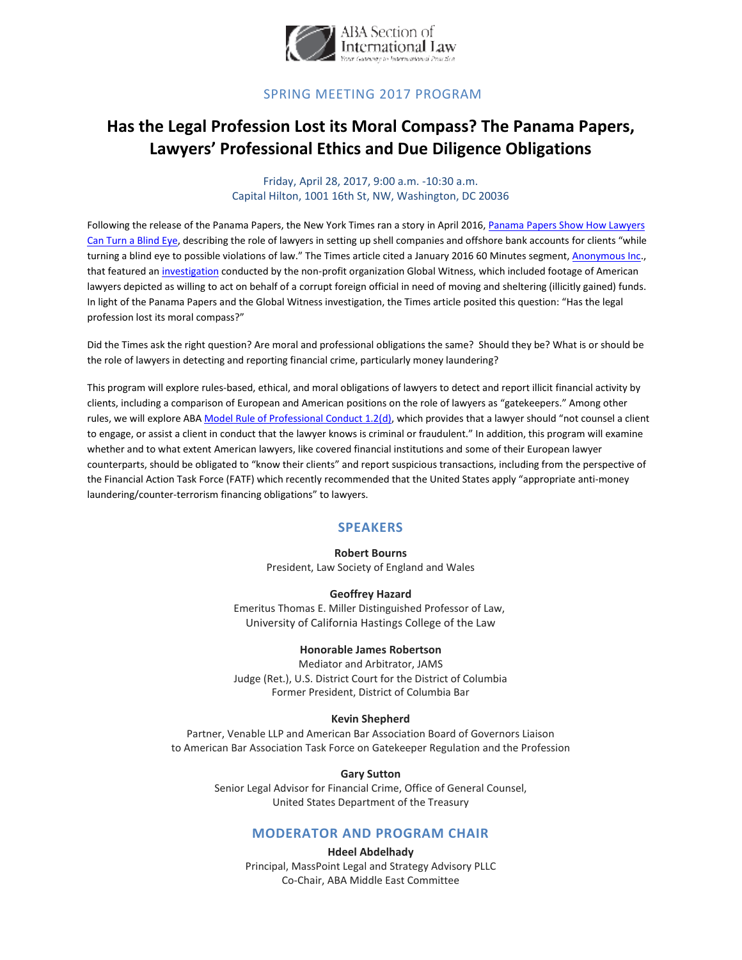

### **SPRING MEETING 2017 PROGRAM**

# Has the Legal Profession Lost its Moral Compass? The Panama Papers, Lawyers' Professional Ethics and Due Diligence Obligations

Friday, April 28, 2017, 9:00 a.m. -10:30 a.m. Capital Hilton, 1001 16th St, NW, Washington, DC 20036

Following the release of the Panama Papers, the New York Times ran a story in April 2016, Panama Papers Show How Lawyers Can Turn a Blind Eye, describing the role of lawyers in setting up shell companies and offshore bank accounts for clients "while turning a blind eye to possible violations of law." The Times article cited a January 2016 60 Minutes segment, Anonymous Inc., that featured an investigation conducted by the non-profit organization Global Witness, which included footage of American lawyers depicted as willing to act on behalf of a corrupt foreign official in need of moving and sheltering (illicitly gained) funds. In light of the Panama Papers and the Global Witness investigation, the Times article posited this question: "Has the legal profession lost its moral compass?"

Did the Times ask the right question? Are moral and professional obligations the same? Should they be? What is or should be the role of lawyers in detecting and reporting financial crime, particularly money laundering?

This program will explore rules-based, ethical, and moral obligations of lawyers to detect and report illicit financial activity by clients, including a comparison of European and American positions on the role of lawyers as "gatekeepers." Among other rules, we will explore ABA Model Rule of Professional Conduct 1.2(d), which provides that a lawyer should "not counsel a client to engage, or assist a client in conduct that the lawyer knows is criminal or fraudulent." In addition, this program will examine whether and to what extent American lawyers, like covered financial institutions and some of their European lawyer counterparts, should be obligated to "know their clients" and report suspicious transactions, including from the perspective of the Financial Action Task Force (FATF) which recently recommended that the United States apply "appropriate anti-money laundering/counter-terrorism financing obligations" to lawyers.

#### **SPEAKERS**

#### **Robert Bourns**

President, Law Society of England and Wales

#### **Geoffrey Hazard**

Emeritus Thomas E. Miller Distinguished Professor of Law, University of California Hastings College of the Law

#### **Honorable James Robertson**

Mediator and Arbitrator, JAMS Judge (Ret.), U.S. District Court for the District of Columbia Former President, District of Columbia Bar

#### **Kevin Shepherd**

Partner, Venable LLP and American Bar Association Board of Governors Liaison to American Bar Association Task Force on Gatekeeper Regulation and the Profession

#### **Gary Sutton**

Senior Legal Advisor for Financial Crime, Office of General Counsel, United States Department of the Treasury

### **MODERATOR AND PROGRAM CHAIR**

**Hdeel Abdelhady** Principal, MassPoint Legal and Strategy Advisory PLLC Co-Chair, ABA Middle East Committee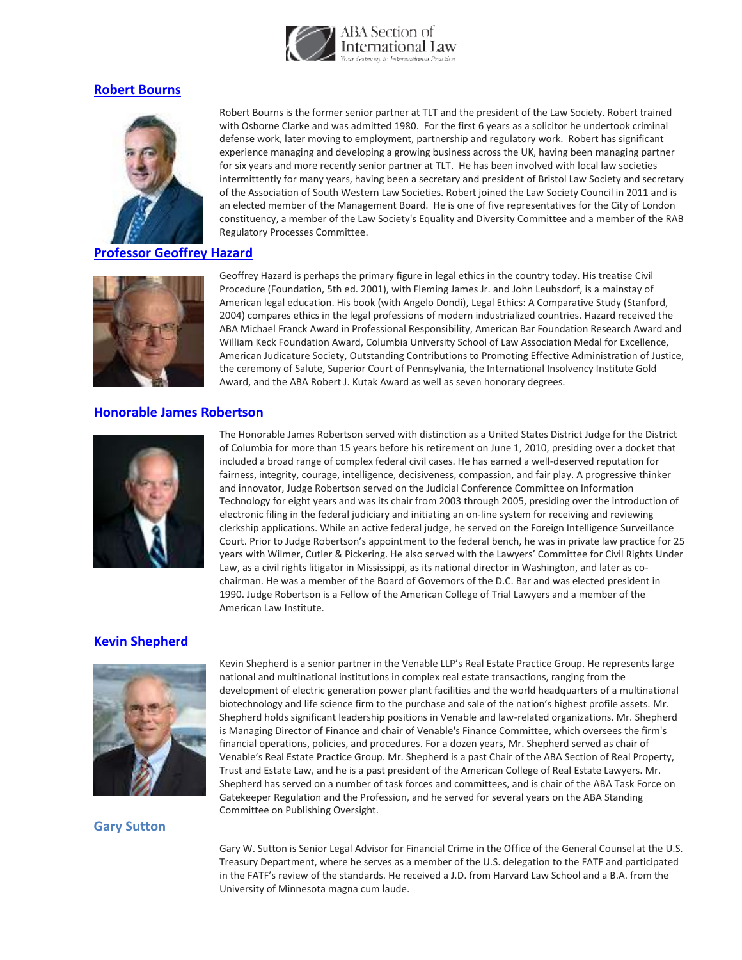

### **[Robert Bourns](http://www.tltsolicitors.com/people/robert-bourns/)**



#### **[Professor Geoffrey Hazard](http://www.uchastings.edu/faculty/hazard/index.php)**



## **[Honorable James Robertson](https://www.jamsadr.com/robertson/)**



Robert Bourns is the former senior partner at TLT and the president of the Law Society. Robert trained with Osborne Clarke and was admitted 1980. For the first 6 years as a solicitor he undertook criminal defense work, later moving to employment, partnership and regulatory work. Robert has significant experience managing and developing a growing business across the UK, having been managing partner for six years and more recently senior partner at TLT. He has been involved with local law societies intermittently for many years, having been a secretary and president of Bristol Law Society and secretary of the Association of South Western Law Societies. Robert joined the Law Society Council in 2011 and is an elected member of the Management Board. He is one of five representatives for the City of London constituency, a member of the Law Society's Equality and Diversity Committee and a member of the RAB Regulatory Processes Committee.

Geoffrey Hazard is perhaps the primary figure in legal ethics in the country today. His treatise Civil Procedure (Foundation, 5th ed. 2001), with Fleming James Jr. and John Leubsdorf, is a mainstay of American legal education. His book (with Angelo Dondi), Legal Ethics: A Comparative Study (Stanford, 2004) compares ethics in the legal professions of modern industrialized countries. Hazard received the ABA Michael Franck Award in Professional Responsibility, American Bar Foundation Research Award and William Keck Foundation Award, Columbia University School of Law Association Medal for Excellence, American Judicature Society, Outstanding Contributions to Promoting Effective Administration of Justice, the ceremony of Salute, Superior Court of Pennsylvania, the International Insolvency Institute Gold Award, and the ABA Robert J. Kutak Award as well as seven honorary degrees.

The Honorable James Robertson served with distinction as a United States District Judge for the District of Columbia for more than 15 years before his retirement on June 1, 2010, presiding over a docket that included a broad range of complex federal civil cases. He has earned a well-deserved reputation for fairness, integrity, courage, intelligence, decisiveness, compassion, and fair play. A progressive thinker and innovator, Judge Robertson served on the Judicial Conference Committee on Information Technology for eight years and was its chair from 2003 through 2005, presiding over the introduction of electronic filing in the federal judiciary and initiating an on-line system for receiving and reviewing clerkship applications. While an active federal judge, he served on the Foreign Intelligence Surveillance Court. Prior to Judge Robertson's appointment to the federal bench, he was in private law practice for 25 years with Wilmer, Cutler & Pickering. He also served with the Lawyers' Committee for Civil Rights Under Law, as a civil rights litigator in Mississippi, as its national director in Washington, and later as cochairman. He was a member of the Board of Governors of the D.C. Bar and was elected president in 1990. Judge Robertson is a Fellow of the American College of Trial Lawyers and a member of the American Law Institute.

### **[Kevin Shepherd](https://www.venable.com/kevin-l-shepherd/)**



#### **Gary Sutton**

Kevin Shepherd is a senior partner in the Venable LLP's Real Estate Practice Group. He represents large national and multinational institutions in complex real estate transactions, ranging from the development of electric generation power plant facilities and the world headquarters of a multinational biotechnology and life science firm to the purchase and sale of the nation's highest profile assets. Mr. Shepherd holds significant leadership positions in Venable and law-related organizations. Mr. Shepherd is Managing Director of Finance and chair of Venable's Finance Committee, which oversees the firm's financial operations, policies, and procedures. For a dozen years, Mr. Shepherd served as chair of Venable's Real Estate Practice Group. Mr. Shepherd is a past Chair of the ABA Section of Real Property, Trust and Estate Law, and he is a past president of the American College of Real Estate Lawyers. Mr. Shepherd has served on a number of task forces and committees, and is chair of the ABA Task Force on Gatekeeper Regulation and the Profession, and he served for several years on the ABA Standing Committee on Publishing Oversight.

Gary W. Sutton is Senior Legal Advisor for Financial Crime in the Office of the General Counsel at the U.S. Treasury Department, where he serves as a member of the U.S. delegation to the FATF and participated in the FATF's review of the standards. He received a J.D. from Harvard Law School and a B.A. from the University of Minnesota magna cum laude.